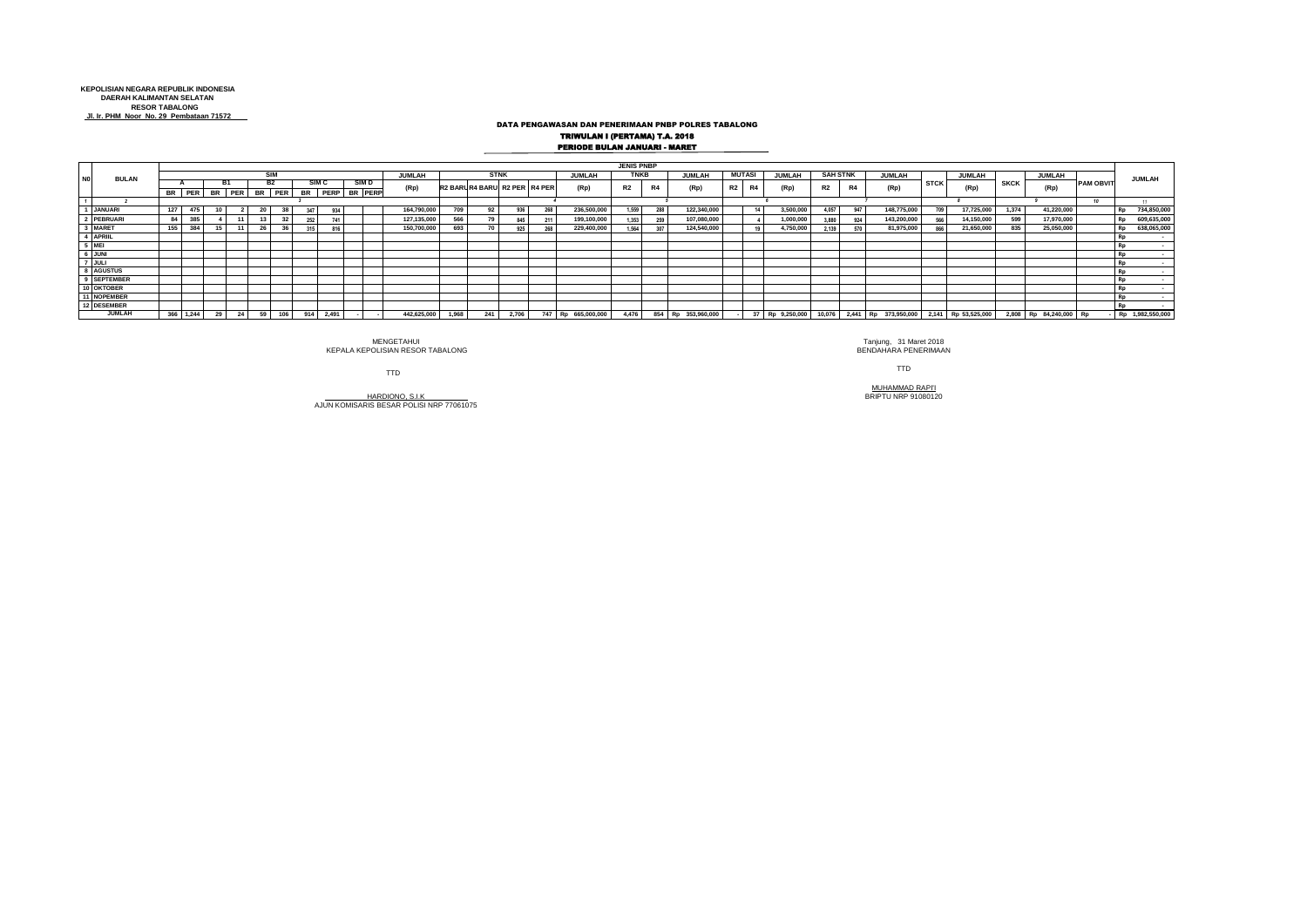## **KEPOLISIAN NEGARA REPUBLIK INDONESIA DAERAH KALIMANTAN SELATAN RESOR TABALONG Jl. Ir. PHM Noor No. 29 Pembataan 71572**

## DATA PENGAWASAN DAN PENERIMAAN PNBP POLRES TABALONG<br>T**RIWULAN I (PERTAMA) T.A. 2018**<br>PERIODE BULAN JANUARI - MARET

| N <sub>0</sub> | <b>BULAN</b>     |     |           |    |     |    |     |  |                                      |                  |  |             |       |             |                               |               |                    | <b>JENIS PNBP</b> |               |                                |                |                 |                 |               |     |                                                 |             |            |             |                        |                  |                          |
|----------------|------------------|-----|-----------|----|-----|----|-----|--|--------------------------------------|------------------|--|-------------|-------|-------------|-------------------------------|---------------|--------------------|-------------------|---------------|--------------------------------|----------------|-----------------|-----------------|---------------|-----|-------------------------------------------------|-------------|------------|-------------|------------------------|------------------|--------------------------|
|                |                  |     |           |    |     |    |     |  |                                      |                  |  | JUMLAH      |       | <b>STNK</b> |                               | <b>JUMLAH</b> | <b>TNKB</b>        |                   | <b>JUMLAH</b> | <b>MUTASI</b><br><b>JUMLAH</b> |                | <b>SAH STNK</b> |                 | <b>JUMLAH</b> |     | <b>JUMLAH</b>                                   |             | JUMLAH     |             | <b>JUMLAH</b>          |                  |                          |
|                |                  |     |           |    |     |    |     |  |                                      | SIM <sub>D</sub> |  | (Rp)        |       |             | R2 BARL R4 BARU R2 PER R4 PER |               | (Rp)               | R2                | R4            | (Rp)                           | R <sub>2</sub> | <b>R4</b>       | (Rp)            |               | R4  | (Rp)                                            | <b>STCK</b> | (Rp)       | <b>SKCK</b> | (Rp)                   | <b>PAM OBVIT</b> |                          |
|                |                  |     |           |    |     |    |     |  | BR PER BR PER BR PER BR PERP BR PERP |                  |  |             |       |             |                               |               |                    |                   |               |                                |                |                 |                 |               |     |                                                 |             |            |             |                        |                  |                          |
|                |                  |     |           |    |     |    |     |  |                                      |                  |  |             |       |             |                               |               |                    |                   |               |                                |                |                 |                 |               |     |                                                 |             |            |             |                        |                  | 44                       |
|                | 1 JANUARI        | 127 | 475       | 10 |     |    | 25  |  | 93                                   |                  |  | 164,790,000 | 709   | 92          | 936                           | 268           | 236,500,000        | 1.559             | 288           | 122,340,000                    |                | 14 <sup>1</sup> | 3,500,000       | 4.057         | 947 | 148,775,000                                     |             | 17,725,000 | 1.374       | 41,220,000             |                  | 734,850,000<br>l Rp      |
|                | 2 PEBRUARI       | 84  | 385       |    |     | 13 | 32  |  | 74                                   |                  |  | 127,135,000 | 566   | 79          | 845                           |               | 199,100,000        | .353              | 25            | 107,080,000                    |                |                 | 1,000,000       | 3.880         | 924 | 143,200,000                                     |             | 14,150,000 | 599         | 17,970,000             |                  | 609,635,000              |
|                | 3 MARET          | 155 | 384       | 15 | -11 |    | 36  |  | 81                                   |                  |  | 150,700,000 | 693   | 70          | 925                           | 20            | 229,400,000        | .564              | 307           | 124,540,000                    |                |                 | 4,750,000       | 2.139         | 570 | 81,975,000                                      |             | 21,650,000 | 835         | 25,050,000             |                  | 638,065,000<br><b>Rp</b> |
|                | 4 APRIIL         |     |           |    |     |    |     |  |                                      |                  |  |             |       |             |                               |               |                    |                   |               |                                |                |                 |                 |               |     |                                                 |             |            |             |                        |                  |                          |
|                | 5 MEI            |     |           |    |     |    |     |  |                                      |                  |  |             |       |             |                               |               |                    |                   |               |                                |                |                 |                 |               |     |                                                 |             |            |             |                        |                  |                          |
|                | 6 JUNI<br>7 JULI |     |           |    |     |    |     |  |                                      |                  |  |             |       |             |                               |               |                    |                   |               |                                |                |                 |                 |               |     |                                                 |             |            |             |                        |                  |                          |
|                |                  |     |           |    |     |    |     |  |                                      |                  |  |             |       |             |                               |               |                    |                   |               |                                |                |                 |                 |               |     |                                                 |             |            |             |                        |                  |                          |
|                | 8 AGUSTUS        |     |           |    |     |    |     |  |                                      |                  |  |             |       |             |                               |               |                    |                   |               |                                |                |                 |                 |               |     |                                                 |             |            |             |                        |                  |                          |
|                | 9 SEPTEMBER      |     |           |    |     |    |     |  |                                      |                  |  |             |       |             |                               |               |                    |                   |               |                                |                |                 |                 |               |     |                                                 |             |            |             |                        |                  |                          |
|                | 10 OKTOBER       |     |           |    |     |    |     |  |                                      |                  |  |             |       |             |                               |               |                    |                   |               |                                |                |                 |                 |               |     |                                                 |             |            |             |                        |                  |                          |
|                | 11 NOPEMBER      |     |           |    |     |    |     |  |                                      |                  |  |             |       |             |                               |               |                    |                   |               |                                |                |                 |                 |               |     |                                                 |             |            |             |                        |                  |                          |
|                | 12 DESEMBER      |     |           |    |     |    |     |  |                                      |                  |  |             |       |             |                               |               |                    |                   |               |                                |                |                 |                 |               |     |                                                 |             |            |             |                        |                  |                          |
|                | <b>JUMLAH</b>    |     | 366 1.244 | 29 | 24  | 59 | 106 |  | 914 2.491                            |                  |  | 442.625.000 | 1.968 | 241         | 2.706                         |               | 747 Rp 665,000,000 | 4.476             |               | 854 Rp 353,960,000             |                |                 | 37 Rp 9,250,000 |               |     | 10,076 2,441 Rp 373,950,000 2,141 Rp 53,525,000 |             |            |             | 2.808 Rp 84.240.000 Rp |                  | $Rp$ 1,982,550,000       |

HARDIONO, S.I.K BRIPTU NRP 91080120 AJUN KOMISARIS BESAR POLISI NRP 77061075

MENGETAHUI Tanjung, 31 Maret 2018 KEPALA KEPOLISIAN RESOR TABALONG BENDAHARA PENERIMAAN

TTD TTD

MUHAMMAD RAPI'I<br>BRIPTU NRP 91080120